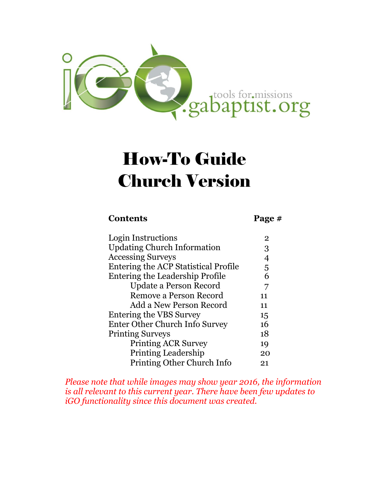

# How-To Guide Church Version

#### **Contents Page #**

| Login Instructions                          | 2  |
|---------------------------------------------|----|
| <b>Updating Church Information</b>          | 3  |
| <b>Accessing Surveys</b>                    |    |
| <b>Entering the ACP Statistical Profile</b> | 5  |
| Entering the Leadership Profile             | 6  |
| Update a Person Record                      | 7  |
| Remove a Person Record                      | 11 |
| Add a New Person Record                     | 11 |
| Entering the VBS Survey                     | 15 |
| Enter Other Church Info Survey              | 16 |
| <b>Printing Surveys</b>                     | 18 |
| <b>Printing ACR Survey</b>                  | 19 |
| <b>Printing Leadership</b>                  | 20 |
| Printing Other Church Info                  | 21 |
|                                             |    |

*Please note that while images may show year 2016, the information is all relevant to this current year. There have been few updates to iGO functionality since this document was created.*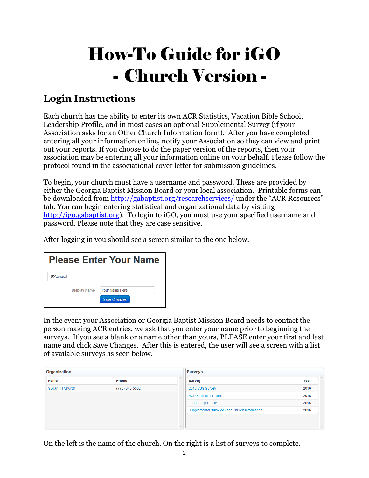# How-To Guide for iGO - Church Version -

# **Login Instructions**

Each church has the ability to enter its own ACR Statistics, Vacation Bible School, Leadership Profile, and in most cases an optional Supplemental Survey (if your Association asks for an Other Church Information form). After you have completed entering all your information online, notify your Association so they can view and print out your reports. If you choose to do the paper version of the reports, then your association may be entering all your information online on your behalf. Please follow the protocol found in the associational cover letter for submission guidelines.

To begin, your church must have a username and password. These are provided by either the Georgia Baptist Mission Board or your local association. Printable forms can be downloaded from<http://gabaptist.org/researchservices/> under the "ACR Resources" tab. You can begin entering statistical and organizational data by visiting [http://igo.gabaptist.org\)](http://igo.gabaptist.org/). To login to iGO, you must use your specified username and password. Please note that they are case sensitive.

After logging in you should see a screen similar to the one below.

|                     | <b>Please Enter Your Name</b>         |
|---------------------|---------------------------------------|
|                     |                                       |
| <b>Display Name</b> | Your Name Here<br><b>Save Changes</b> |
|                     |                                       |

In the event your Association or Georgia Baptist Mission Board needs to contact the person making ACR entries, we ask that you enter your name prior to beginning the surveys. If you see a blank or a name other than yours, PLEASE enter your first and last name and click Save Changes. After this is entered, the user will see a screen with a list of available surveys as seen below.

| Organization      |                | <b>Surveys</b> |                                              |                  |
|-------------------|----------------|----------------|----------------------------------------------|------------------|
| Name              | <b>Phone</b>   | $\wedge$       | <b>Survey</b>                                | $\wedge$<br>Year |
| Sugar Hill Church | (770) 945-5092 |                | 2016 VBS Survey                              | 2016             |
|                   |                |                | <b>ACP Statistical Profile</b>               | 2016             |
|                   |                |                | <b>Leadership Profile</b>                    | 2016             |
|                   |                |                | Supplemental Survey-Other Church Information | 2016             |
|                   |                |                |                                              |                  |
|                   |                | $\mathcal{A}$  |                                              | v.               |

On the left is the name of the church. On the right is a list of surveys to complete.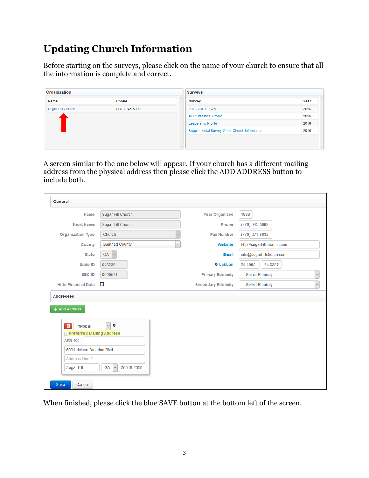# **Updating Church Information**

Before starting on the surveys, please click on the name of your church to ensure that all the information is complete and correct.

| Organization      |                |               | <b>Surveys</b>                               |                |
|-------------------|----------------|---------------|----------------------------------------------|----------------|
| <b>Name</b>       | Phone          | $\wedge$      | Survey                                       | $\sim$<br>Year |
| Sugar Hill Church | (770) 945-5092 |               | 2016 VBS Survey                              | 2016           |
|                   |                |               | <b>ACP Statistical Profile</b>               | 2016           |
|                   |                |               | <b>Leadership Profile</b>                    | 2016           |
|                   |                |               | Supplemental Survey-Other Church Information | 2016           |
|                   |                |               |                                              |                |
|                   |                | $\mathcal{A}$ |                                              | $\mathcal{A}$  |

A screen similar to the one below will appear. If your church has a different mailing address from the physical address then please click the ADD ADDRESS button to include both.

| Name                                                                             | Sugar Hill Church      | <b>Year Organized</b>      | 1886                        |
|----------------------------------------------------------------------------------|------------------------|----------------------------|-----------------------------|
| <b>Short Name</b>                                                                | Sugar Hill Church      | Phone                      | (770) 945-5092              |
| <b>Organization Type</b>                                                         | Church                 | <b>Fax Number</b>          | (770) 271-8632              |
| County                                                                           | <b>Gwinnett County</b> | Website<br>$\mathbf v$     | http://sugarhillchurch.com/ |
| <b>State</b>                                                                     | GA                     | Email                      | info@sugarhillchurch.com    |
| <b>State ID</b>                                                                  | 043230                 | <b>Q</b> Lat/Lon           | 34.1095<br>$-84.0357$       |
| SBC ID                                                                           | 0090571                | <b>Primary Ethnicity</b>   | -- Select Ethnicity --      |
| <b>Hide Financial Data</b>                                                       | $\Box$                 | <b>Secondary Ethnicity</b> | -- Select Ethnicity --      |
|                                                                                  |                        |                            |                             |
| $\hat{\mathbf{m}}$<br>Physical<br><b>▽ Preferred Mailing Address</b><br>Attn To: | $\vee$ 0               |                            |                             |
| 5091 Nelson Brogdon Blvd                                                         |                        |                            |                             |
| Address Line 2                                                                   |                        |                            |                             |

When finished, please click the blue SAVE button at the bottom left of the screen.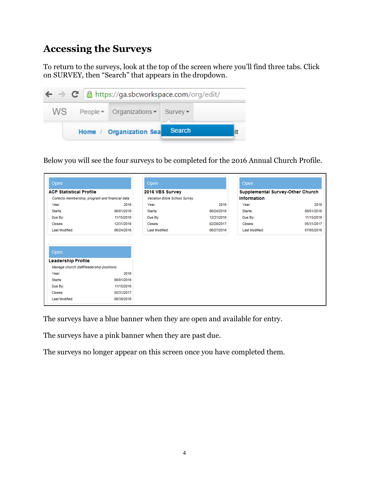## **Accessing the Surveys**

To return to the surveys, look at the top of the screen where you'll find three tabs. Click on SURVEY, then "Search" that appears in the dropdown.



Below you will see the four surveys to be completed for the 2016 Annual Church Profile.

| Open                                                                  |            | Open                         |            | Open                                    |            |
|-----------------------------------------------------------------------|------------|------------------------------|------------|-----------------------------------------|------------|
| <b>ACP Statistical Profile</b>                                        |            | 2016 VBS Survey              |            | <b>Supplemental Survey-Other Church</b> |            |
| Collects membership, program and financial data                       |            | Vacation Bible School Survey |            | Information                             |            |
| Year:                                                                 | 2016       | Year:                        | 2016       | Year:                                   | 2016       |
| Starts:                                                               | 06/01/2016 | Starts:                      | 06/24/2016 | Starts:                                 | 06/01/2016 |
| Due By:                                                               | 11/15/2016 | Due By:                      | 12/31/2016 | Due By:                                 | 11/15/2016 |
| Closes:                                                               | 12/31/2016 | Closes:                      | 02/28/2017 | Closes:                                 | 05/31/2017 |
| Last Modified:                                                        | 06/24/2016 | Last Modified:               | 06/27/2016 | Last Modified:                          | 07/05/2016 |
| Open                                                                  |            |                              |            |                                         |            |
|                                                                       |            |                              |            |                                         |            |
| <b>Leadership Profile</b><br>Manage church staff/leadership positions |            |                              |            |                                         |            |
| Year:                                                                 | 2016       |                              |            |                                         |            |
| Starts:                                                               | 06/01/2016 |                              |            |                                         |            |
| Due By:                                                               | 11/15/2016 |                              |            |                                         |            |
| Closes:                                                               | 05/31/2017 |                              |            |                                         |            |

The surveys have a blue banner when they are open and available for entry.

The surveys have a pink banner when they are past due.

The surveys no longer appear on this screen once you have completed them.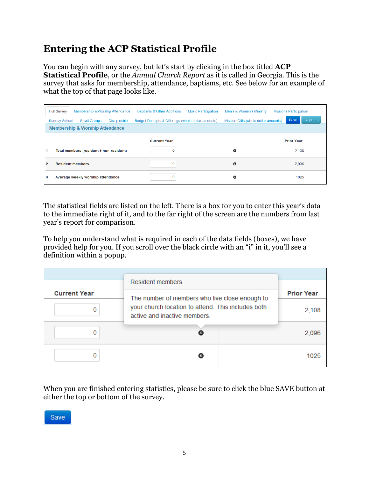# **Entering the ACP Statistical Profile**

You can begin with any survey, but let's start by clicking in the box titled **ACP Statistical Profile**, or the *Annual Church Report* as it is called in Georgia. This is the survey that asks for membership, attendance, baptisms, etc. See below for an example of what the top of that page looks like.

| <b>Full Survey</b><br>Membership & Worship Attendance              | <b>Baptisms &amp; Other Additions</b><br><b>Music Participation</b> | Men's & Women's Ministry             | <b>Missions Participation</b> |  |  |  |
|--------------------------------------------------------------------|---------------------------------------------------------------------|--------------------------------------|-------------------------------|--|--|--|
| <b>Sunday School</b><br><b>Small Groups</b><br><b>Discipleship</b> | Budget Receipts & Offerings (whole dollar amounts)                  | Mission Gifts (whole dollar amounts) | Reports<br>Save               |  |  |  |
| <b>Membership &amp; Worship Attendance</b>                         |                                                                     |                                      |                               |  |  |  |
|                                                                    | <b>Current Year</b>                                                 |                                      | <b>Prior Year</b>             |  |  |  |
| Total members (resident + non-resident)                            | $\mathbf 0$                                                         | O                                    | 2.108                         |  |  |  |
| $\overline{2}$<br><b>Resident members</b>                          | 0                                                                   | $\bullet$                            | 2.096                         |  |  |  |
| 3<br>Average weekly worship attendance                             | $\mathbf 0$                                                         | O                                    | 1025                          |  |  |  |

The statistical fields are listed on the left. There is a box for you to enter this year's data to the immediate right of it, and to the far right of the screen are the numbers from last year's report for comparison.

To help you understand what is required in each of the data fields (boxes), we have provided help for you. If you scroll over the black circle with an "i" in it, you'll see a definition within a popup.

|                     | <b>Resident members</b>                                                            |                   |
|---------------------|------------------------------------------------------------------------------------|-------------------|
| <b>Current Year</b> | The number of members who live close enough to                                     | <b>Prior Year</b> |
|                     | your church location to attend. This includes both<br>active and inactive members. | 2,108             |
|                     |                                                                                    | 2,096             |
|                     | A                                                                                  | 1025              |

When you are finished entering statistics, please be sure to click the blue SAVE button at either the top or bottom of the survey.

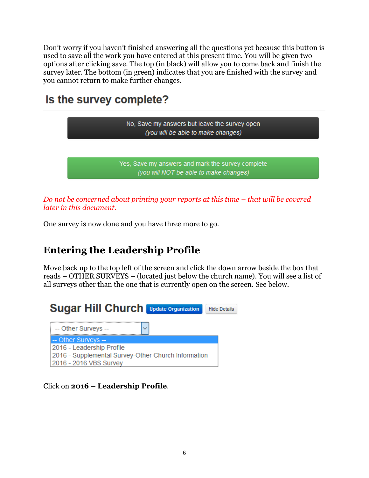Don't worry if you haven't finished answering all the questions yet because this button is used to save all the work you have entered at this present time. You will be given two options after clicking save. The top (in black) will allow you to come back and finish the survey later. The bottom (in green) indicates that you are finished with the survey and you cannot return to make further changes.

# Is the survey complete?



*Do not be concerned about printing your reports at this time – that will be covered later in this document.*

One survey is now done and you have three more to go.

# **Entering the Leadership Profile**

Move back up to the top left of the screen and click the down arrow beside the box that reads – OTHER SURVEYS – (located just below the church name). You will see a list of all surveys other than the one that is currently open on the screen. See below.



Click on **2016 – Leadership Profile**.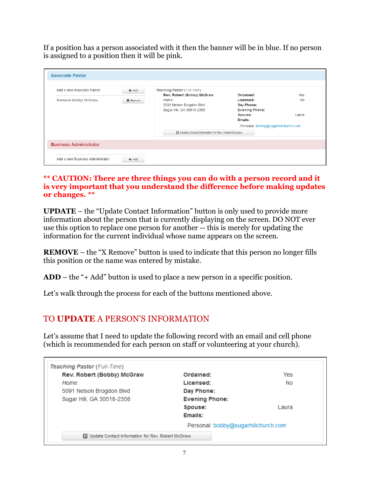If a position has a person associated with it then the banner will be in blue. If no person is assigned to a position then it will be pink.

| Add a new Associate Pastor    | $+Add$          | <b>Teaching Pastor (Full-Time)</b>                |                                     |           |
|-------------------------------|-----------------|---------------------------------------------------|-------------------------------------|-----------|
|                               |                 | Rev. Robert (Bobby) McGraw                        | Ordained:                           | Yes       |
| <b>Remove Bobby McGraw</b>    | <b>X</b> Remove | Home:                                             | Licensed:                           | <b>No</b> |
|                               |                 | 5091 Nelson Brogdon Blvd                          | Day Phone:                          |           |
|                               |                 | Sugar Hill, GA 30518-2358                         | <b>Evening Phone:</b>               |           |
|                               |                 |                                                   | Spouse:                             | Laura     |
|                               |                 |                                                   | Emails:                             |           |
|                               |                 |                                                   | Personal: bobby@sugarhillchurch.com |           |
|                               |                 | Update Contact Information for Rev. Robert McGraw |                                     |           |
| <b>Business Administrator</b> |                 |                                                   |                                     |           |

#### **\*\* CAUTION: There are three things you can do with a person record and it is very important that you understand the difference before making updates or changes. \*\***

**UPDATE** – the "Update Contact Information" button is only used to provide more information about the person that is currently displaying on the screen. DO NOT ever use this option to replace one person for another -- this is merely for updating the information for the current individual whose name appears on the screen.

**REMOVE** – the "X Remove" button is used to indicate that this person no longer fills this position or the name was entered by mistake.

**ADD** – the "+ Add" button is used to place a new person in a specific position.

Let's walk through the process for each of the buttons mentioned above.

#### TO **UPDATE** A PERSON'S INFORMATION

Let's assume that I need to update the following record with an email and cell phone (which is recommended for each person on staff or volunteering at your church).

| Rev. Robert (Bobby) McGraw | Ordained:                           | Yes   |
|----------------------------|-------------------------------------|-------|
| Home:                      | Licensed:                           | No.   |
| 5091 Nelson Brogdon Blvd   | Day Phone:                          |       |
| Sugar Hill, GA 30518-2358  | <b>Evening Phone:</b>               |       |
|                            | Spouse:                             | Laura |
|                            | Emails:                             |       |
|                            | Personal: bobby@sugarhillchurch.com |       |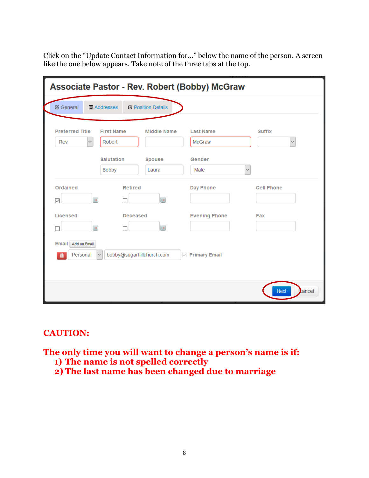Click on the "Update Contact Information for…" below the name of the person. A screen like the one below appears. Take note of the three tabs at the top.

|                                          |                                                                                  |                                            | <b>Associate Pastor - Rev. Robert (Bobby) McGraw</b>                |                               |
|------------------------------------------|----------------------------------------------------------------------------------|--------------------------------------------|---------------------------------------------------------------------|-------------------------------|
| <b>&amp;</b> General                     | <b>■ Addresses</b>                                                               | C Position Details                         |                                                                     |                               |
| <b>Preferred Title</b><br>Rev.           | <b>First Name</b><br>Robert<br>$\checkmark$<br><b>Salutation</b><br><b>Bobby</b> | <b>Middle Name</b><br>Spouse<br>Laura      | <b>Last Name</b><br><b>McGraw</b><br>Gender<br>Male<br>$\checkmark$ | <b>Suffix</b><br>$\checkmark$ |
| Ordained<br>$\checkmark$                 | $\equiv$                                                                         | <b>Retired</b><br>$\overline{\phantom{a}}$ | Day Phone                                                           | <b>Cell Phone</b>             |
| Licensed                                 | $\blacksquare$<br>П                                                              | <b>Deceased</b><br>$\blacksquare$          | <b>Evening Phone</b>                                                | Fax                           |
| <b>Email</b><br>Add an Email<br>Personal |                                                                                  | bobby@sugarhillchurch.com                  | <b>Primary Email</b><br>$\checkmark$                                |                               |
|                                          |                                                                                  |                                            |                                                                     | <b>Next</b><br>Cancel         |

#### **CAUTION:**

**The only time you will want to change a person's name is if:**

- **1) The name is not spelled correctly**
- **2) The last name has been changed due to marriage**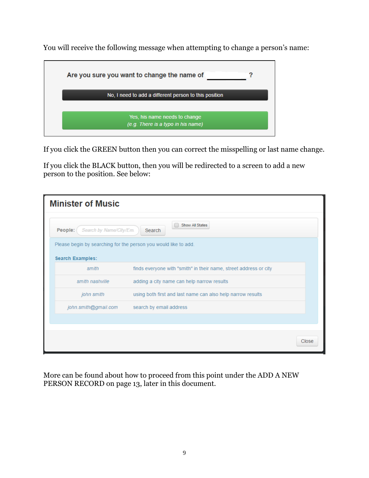You will receive the following message when attempting to change a person's name:



If you click the GREEN button then you can correct the misspelling or last name change.

If you click the BLACK button, then you will be redirected to a screen to add a new person to the position. See below:

| <b>Minister of Music</b>                                                                   |                                                                   |       |
|--------------------------------------------------------------------------------------------|-------------------------------------------------------------------|-------|
| People:<br>Search by Name/City/Em.                                                         | Show All States<br>Search                                         |       |
| Please begin by searching for the person you would like to add.<br><b>Search Examples:</b> |                                                                   |       |
| smith                                                                                      | finds everyone with "smith" in their name, street address or city |       |
| smith nashville                                                                            | adding a city name can help narrow results                        |       |
| john smith                                                                                 | using both first and last name can also help narrow results       |       |
| john.smith@gmail.com                                                                       | search by email address                                           |       |
|                                                                                            |                                                                   |       |
|                                                                                            |                                                                   | Close |

More can be found about how to proceed from this point under the ADD A NEW PERSON RECORD on page 13, later in this document.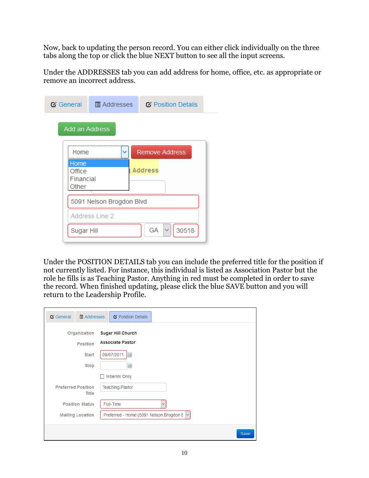Now, back to updating the person record. You can either click individually on the three tabs along the top or click the blue NEXT button to see all the input screens.

Under the ADDRESSES tab you can add address for home, office, etc. as appropriate or remove an incorrect address.

| <b>&amp;</b> General                 | <b>E</b> Addresses       | C Position Details          |
|--------------------------------------|--------------------------|-----------------------------|
| Add an Address                       |                          |                             |
| <b>Home</b>                          | $\checkmark$             | <b>Remove Address</b>       |
| Home<br>Office<br>Financial<br>Other |                          | <b>Address</b>              |
|                                      | 5091 Nelson Brogdon Blvd |                             |
|                                      | <b>Address Line 2</b>    |                             |
| Sugar Hill                           |                          | GA<br>$\checkmark$<br>30518 |

Under the POSITION DETAILS tab you can include the preferred title for the position if not currently listed. For instance, this individual is listed as Association Pastor but the role he fills is as Teaching Pastor. Anything in red must be completed in order to save the record. When finished updating, please click the blue SAVE button and you will return to the Leadership Profile.

| <b>&amp;</b> General<br><b>圖 Addresses</b> | <b>Z</b> Position Details                      |
|--------------------------------------------|------------------------------------------------|
| Organization                               | <b>Sugar Hill Church</b>                       |
| <b>Position</b>                            | <b>Associate Pastor</b>                        |
| <b>Start</b>                               | 09/07/2011<br>$\overline{\phantom{a}}$         |
| <b>Stop</b>                                | ×                                              |
|                                            | <b>Interim Only</b>                            |
| <b>Preferred Position</b><br><b>Title</b>  | <b>Teaching Pastor</b>                         |
| <b>Position Status</b>                     | Full-Time<br>$\checkmark$                      |
| <b>Mailing Location</b>                    | Preferred - Home (5091 Nelson Brogdon E $\sim$ |
|                                            | Save                                           |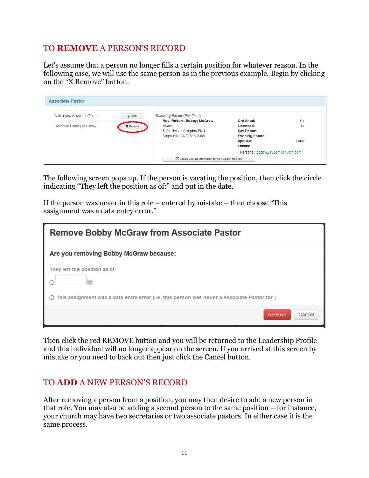#### TO **REMOVE** A PERSON'S RECORD

Let's assume that a person no longer fills a certain position for whatever reason. In the following case, we will use the same person as in the previous example. Begin by clicking on the "X Remove" button.

| <b>Associate Pastor</b>                                  |                           |                                                                                                                                    |                                                                                     |                    |
|----------------------------------------------------------|---------------------------|------------------------------------------------------------------------------------------------------------------------------------|-------------------------------------------------------------------------------------|--------------------|
| Add a new Associate Pastor<br><b>Remove Bobby McGraw</b> | $+Add$<br><b>X</b> Remove | <b>Teaching Pastor (Full-Time)</b><br>Rev. Robert (Bobby) McGraw<br>Home:<br>5091 Nelson Brogdon Blvd<br>Sugar Hill, GA 30518-2358 | Ordained:<br>Licensed:<br>Day Phone:<br><b>Evening Phone:</b><br>Spouse:<br>Emails: | Yes<br>No<br>Laura |
|                                                          |                           |                                                                                                                                    | Personal: bobby@sugarhillchurch.com                                                 |                    |
|                                                          |                           | C Update Contact Information for Rev. Robert McGraw                                                                                |                                                                                     |                    |

The following screen pops up. If the person is vacating the position, then click the circle indicating "They left the position as of:" and put in the date.

If the person was never in this role – entered by mistake – then choose "This assignment was a data entry error."

| <b>Remove Bobby McGraw from Associate Pastor</b>                                            |  |  |  |
|---------------------------------------------------------------------------------------------|--|--|--|
| Are you removing Bobby McGraw because:                                                      |  |  |  |
| They left the position as of:                                                               |  |  |  |
| This assignment was a data entry error (i.e. this person was never a Associate Pastor for ) |  |  |  |
| Remove<br>Cancel                                                                            |  |  |  |

Then click the red REMOVE button and you will be returned to the Leadership Profile and this individual will no longer appear on the screen. If you arrived at this screen by mistake or you need to back out then just click the Cancel button.

#### TO **ADD** A NEW PERSON'S RECORD

After removing a person from a position, you may then desire to add a new person in that role. You may also be adding a second person to the same position – for instance, your church may have two secretaries or two associate pastors. In either case it is the same process.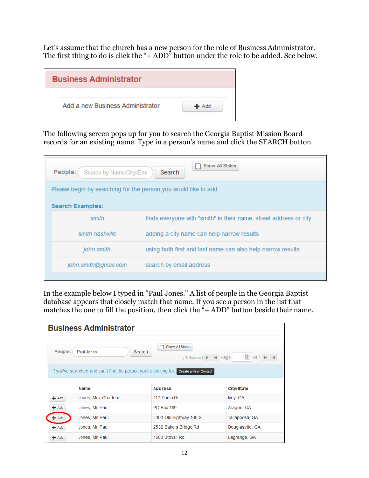Let's assume that the church has a new person for the role of Business Administrator. The first thing to do is click the "+ ADD" button under the role to be added. See below.

| <b>Business Administrator</b>    |         |
|----------------------------------|---------|
| Add a new Business Administrator | $+$ Add |

The following screen pops up for you to search the Georgia Baptist Mission Board records for an existing name. Type in a person's name and click the SEARCH button.

| People:<br>Search by Name/City/Ema                              | Show All States<br><b>Search</b>                                  |
|-----------------------------------------------------------------|-------------------------------------------------------------------|
| Please begin by searching for the person you would like to add. |                                                                   |
| <b>Search Examples:</b>                                         |                                                                   |
| smith                                                           | finds everyone with "smith" in their name, street address or city |
| smith nashville                                                 | adding a city name can help narrow results                        |
| john smith                                                      | using both first and last name can also help narrow results       |
| john.smith@gmail.com                                            | search by email address                                           |
|                                                                 |                                                                   |

In the example below I typed in "Paul Jones." A list of people in the Georgia Baptist database appears that closely match that name. If you see a person in the list that matches the one to fill the position, then click the  $4 + ADD$  button beside their name.

| <b>Business Administrator</b>            |                                                                  |                                                                                   |                    |  |  |  |
|------------------------------------------|------------------------------------------------------------------|-----------------------------------------------------------------------------------|--------------------|--|--|--|
| People:                                  | Paul Jones                                                       | Show All States<br>П<br>Search<br>$(15$ Matches) $\vert \mathbf{M} \vert$ 44 Page | $1 - 1$ of $1 + 1$ |  |  |  |
|                                          | If you've searched and can't find the person you're looking for: | Create a New Contact                                                              |                    |  |  |  |
|                                          |                                                                  |                                                                                   |                    |  |  |  |
|                                          | <b>Name</b>                                                      | <b>Address</b>                                                                    | City/State         |  |  |  |
|                                          | Jones, Mrs. Charlene                                             | 117 Paula Dr.                                                                     | Ivey, GA           |  |  |  |
|                                          | Jones, Mr. Paul                                                  | <b>PO Box 189</b>                                                                 | Aragon, GA         |  |  |  |
|                                          | Jones, Mr. Paul                                                  | 2303 Old Highway 100 S                                                            | Tallapoosa, GA     |  |  |  |
| $+$ Add<br>$+$ Add<br>$#$ Add<br>$+$ Add | Jones, Mr. Paul                                                  | 2532 Bakers Bridge Rd                                                             | Douglasville, GA   |  |  |  |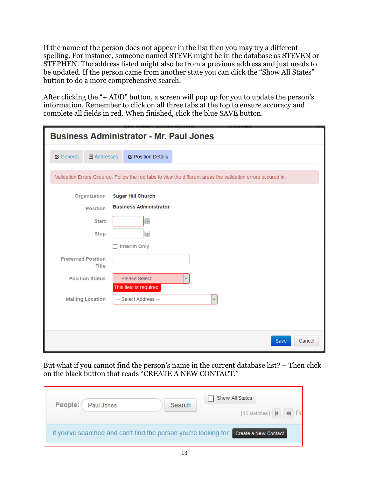If the name of the person does not appear in the list then you may try a different spelling. For instance, someone named STEVE might be in the database as STEVEN or STEPHEN. The address listed might also be from a previous address and just needs to be updated. If the person came from another state you can click the "Show All States" button to do a more comprehensive search.

After clicking the "+ ADD" button, a screen will pop up for you to update the person's information. Remember to click on all three tabs at the top to ensure accuracy and complete all fields in red. When finished, click the blue SAVE button.

|                                            | <b>Business Administrator - Mr. Paul Jones</b>                                                               |
|--------------------------------------------|--------------------------------------------------------------------------------------------------------------|
| <b>&amp;</b> General<br><b>圖 Addresses</b> | <b>Ø Position Details</b>                                                                                    |
|                                            | Validation Errors Occured. Follow the red tabs to view the different areas the validation errors occured in. |
| Organization                               | <b>Sugar Hill Church</b>                                                                                     |
| <b>Position</b>                            | <b>Business Administrator</b>                                                                                |
| <b>Start</b>                               | $\overline{\phantom{a}}$                                                                                     |
| <b>Stop</b>                                | $\equiv$                                                                                                     |
|                                            | Interim Only                                                                                                 |
| <b>Preferred Position</b><br>Title         |                                                                                                              |
| <b>Position Status</b>                     | -- Please Select --<br>This field is required.                                                               |
| <b>Mailing Location</b>                    | -- Select Address --                                                                                         |
|                                            |                                                                                                              |
|                                            | Save<br>Cancel                                                                                               |

But what if you cannot find the person's name in the current database list? – Then click on the black button that reads "CREATE A NEW CONTACT."

| People:<br>Paul Jones                                                                 | Search | Show All States<br>$(15$ Matches) $\vert$ 41 44 $\vert$ Pa |
|---------------------------------------------------------------------------------------|--------|------------------------------------------------------------|
| If you've searched and can't find the person you're looking for: Create a New Contact |        |                                                            |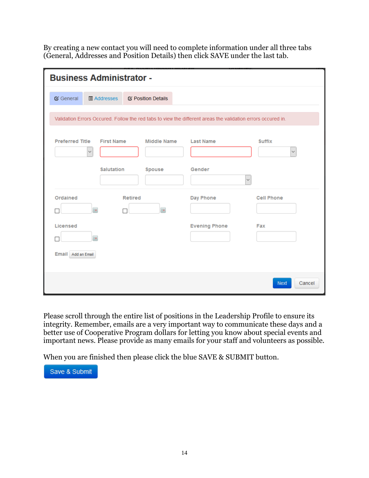By creating a new contact you will need to complete information under all three tabs (General, Addresses and Position Details) then click SAVE under the last tab.

| <b>Business Administrator -</b>            |                         |                |                    |                                                                                                              |                       |
|--------------------------------------------|-------------------------|----------------|--------------------|--------------------------------------------------------------------------------------------------------------|-----------------------|
| C General                                  | <b>■ Addresses</b>      |                | C Position Details |                                                                                                              |                       |
|                                            |                         |                |                    | Validation Errors Occured. Follow the red tabs to view the different areas the validation errors occured in. |                       |
| Preferred Title First Name<br>$\checkmark$ |                         |                | <b>Middle Name</b> | <b>Last Name</b>                                                                                             | <b>Suffix</b>         |
|                                            | <b>Salutation</b>       |                | Spouse             | Gender<br>$\checkmark$                                                                                       |                       |
| Ordained                                   | $\overline{\mathbf{r}}$ | <b>Retired</b> | $\equiv$           | Day Phone                                                                                                    | <b>Cell Phone</b>     |
| Licensed                                   | Ŧ                       |                |                    | <b>Evening Phone</b>                                                                                         | Fax                   |
| Email Add an Email                         |                         |                |                    |                                                                                                              |                       |
|                                            |                         |                |                    |                                                                                                              | <b>Next</b><br>Cancel |

Please scroll through the entire list of positions in the Leadership Profile to ensure its integrity. Remember, emails are a very important way to communicate these days and a better use of Cooperative Program dollars for letting you know about special events and important news. Please provide as many emails for your staff and volunteers as possible.

When you are finished then please click the blue SAVE & SUBMIT button.

Save & Submit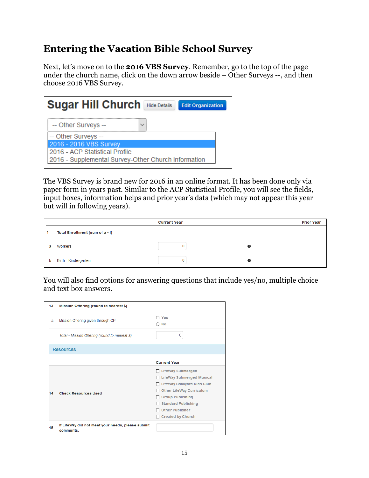## **Entering the Vacation Bible School Survey**

Next, let's move on to the **2016 VBS Survey**. Remember, go to the top of the page under the church name, click on the down arrow beside – Other Surveys --, and then choose 2016 VBS Survey.

| -- Other Surveys --<br>$\checkmark$                 |
|-----------------------------------------------------|
|                                                     |
| -- Other Surveys --                                 |
| 2016 - 2016 VBS Survey                              |
| 2016 - ACP Statistical Profile                      |
| 2016 - Supplemental Survey-Other Church Information |

The VBS Survey is brand new for 2016 in an online format. It has been done only via paper form in years past. Similar to the ACP Statistical Profile, you will see the fields, input boxes, information helps and prior year's data (which may not appear this year but will in following years).

|   |                                 | <b>Current Year</b> |   | <b>Prior Year</b> |
|---|---------------------------------|---------------------|---|-------------------|
|   | Total Enrollment (sum of a - f) |                     |   |                   |
| a | Workers                         |                     | O |                   |
| b | Birth - Kindergarten            |                     | Θ |                   |

You will also find options for answering questions that include yes/no, multiple choice and text box answers.

| 13 | Mission Offering (round to nearest \$)                         |                                                                                                                                                                                                                         |
|----|----------------------------------------------------------------|-------------------------------------------------------------------------------------------------------------------------------------------------------------------------------------------------------------------------|
| a  | Mission Offering given through CP                              | $\cap$ Yes<br>$\bigcirc$ No                                                                                                                                                                                             |
|    | Total - Mission Offering (round to nearest \$)                 | $\bf{0}$                                                                                                                                                                                                                |
|    | <b>Resources</b>                                               |                                                                                                                                                                                                                         |
|    |                                                                | <b>Current Year</b>                                                                                                                                                                                                     |
| 14 | <b>Check Resources Used</b>                                    | LifeWay Submerged<br><b>LifeWay Submerged Musical</b><br>LifeWay Backyard Kids Club<br><b>Other LifeWay Curriculum</b><br><b>Group Publishing</b><br><b>Standard Publishing</b><br>Other Publisher<br>Created by Church |
| 15 | If LifeWay did not meet your needs, please submit<br>comments. |                                                                                                                                                                                                                         |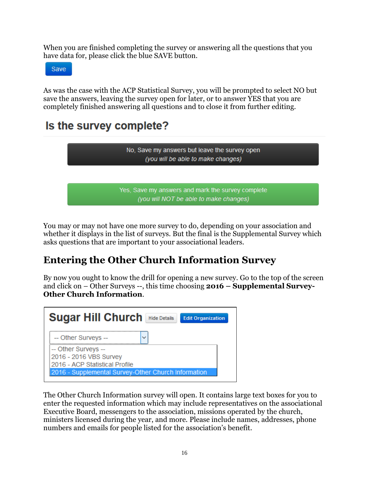When you are finished completing the survey or answering all the questions that you have data for, please click the blue SAVE button.

Save

As was the case with the ACP Statistical Survey, you will be prompted to select NO but save the answers, leaving the survey open for later, or to answer YES that you are completely finished answering all questions and to close it from further editing.

# Is the survey complete?



You may or may not have one more survey to do, depending on your association and whether it displays in the list of surveys. But the final is the Supplemental Survey which asks questions that are important to your associational leaders.

## **Entering the Other Church Information Survey**

By now you ought to know the drill for opening a new survey. Go to the top of the screen and click on – Other Surveys --, this time choosing **2016 – Supplemental Survey-Other Church Information**.



The Other Church Information survey will open. It contains large text boxes for you to enter the requested information which may include representatives on the associational Executive Board, messengers to the association, missions operated by the church, ministers licensed during the year, and more. Please include names, addresses, phone numbers and emails for people listed for the association's benefit.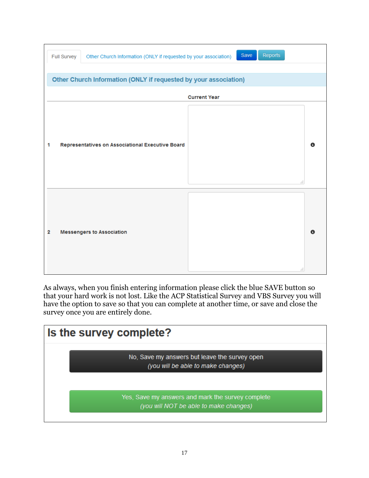|   | <b>Full Survey</b> | Other Church Information (ONLY if requested by your association) |                     | Reports<br>Save |         |
|---|--------------------|------------------------------------------------------------------|---------------------|-----------------|---------|
|   |                    |                                                                  |                     |                 |         |
|   |                    | Other Church Information (ONLY if requested by your association) |                     |                 |         |
|   |                    |                                                                  | <b>Current Year</b> |                 |         |
| 1 |                    | Representatives on Associational Executive Board                 |                     |                 | Θ<br>d. |
| 2 |                    | <b>Messengers to Association</b>                                 |                     |                 | Θ<br>a. |

As always, when you finish entering information please click the blue SAVE button so that your hard work is not lost. Like the ACP Statistical Survey and VBS Survey you will have the option to save so that you can complete at another time, or save and close the survey once you are entirely done.

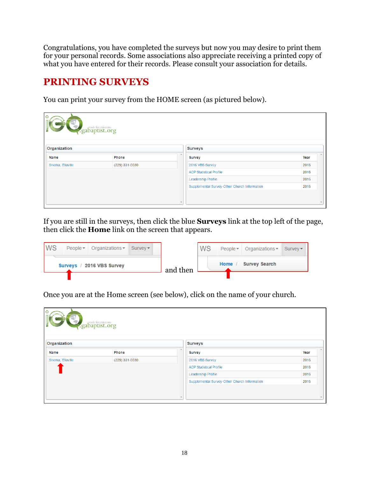Congratulations, you have completed the surveys but now you may desire to print them for your personal records. Some associations also appreciate receiving a printed copy of what you have entered for their records. Please consult your association for details.

## **PRINTING SURVEYS**

You can print your survey from the HOME screen (as pictured below).

| O<br>Seabaptist.org<br>Organization<br><b>Surveys</b> |                |             |                                              |      |
|-------------------------------------------------------|----------------|-------------|----------------------------------------------|------|
| <b>Name</b><br><b>Phone</b>                           |                | $\triangle$ | <b>Survey</b>                                | Year |
|                                                       |                |             |                                              |      |
| Shema, Ellaville                                      | (229) 331-0030 |             | 2016 VBS Survey                              | 2016 |
|                                                       |                |             | <b>ACP Statistical Profile</b>               | 2016 |
|                                                       |                |             | Leadership Profile                           | 2016 |
|                                                       |                |             | Supplemental Survey-Other Church Information | 2016 |
|                                                       |                |             |                                              |      |

If you are still in the surveys, then click the blue **Surveys** link at the top left of the page, then click the **Home** link on the screen that appears.

| WS | $People -$ | Organizations $\sim$      | $S$ urvev $\star$ |          | <b>WS</b> | People $\star$ | Organizations $\sim$ | Survev |
|----|------------|---------------------------|-------------------|----------|-----------|----------------|----------------------|--------|
|    |            | Surveys / 2016 VBS Survey |                   | and then |           | Home           | <b>Survey Search</b> |        |

Once you are at the Home screen (see below), click on the name of your church.

| $\circ$<br>seabaptist.org<br>Organization<br><b>Surveys</b> |                |  |                                              |      |
|-------------------------------------------------------------|----------------|--|----------------------------------------------|------|
| <b>Name</b>                                                 | Phone          |  | <b>Survey</b>                                | Year |
| Shema, Ellaville                                            | (229) 331-0030 |  | 2016 VBS Survey                              | 2016 |
|                                                             |                |  | <b>ACP Statistical Profile</b>               | 2016 |
|                                                             |                |  | Leadership Profile                           | 2016 |
|                                                             |                |  | Supplemental Survey-Other Church Information | 2016 |
|                                                             |                |  |                                              |      |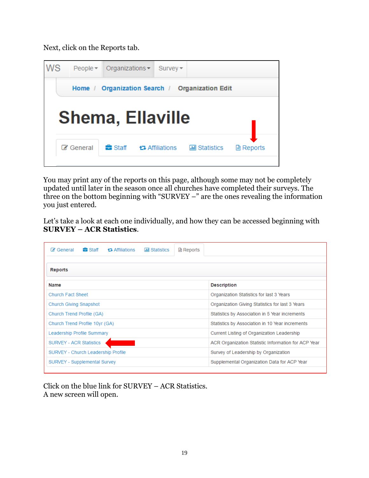Next, click on the Reports tab.



You may print any of the reports on this page, although some may not be completely updated until later in the season once all churches have completed their surveys. The three on the bottom beginning with "SURVEY –" are the ones revealing the information you just entered.

Let's take a look at each one individually, and how they can be accessed beginning with **SURVEY – ACR Statistics**.

| <del>n</del> a Staff<br>C⁄ General<br>ta Affiliations<br><b>III</b> Statistics | <b>△ Reports</b>                                    |
|--------------------------------------------------------------------------------|-----------------------------------------------------|
| <b>Reports</b>                                                                 |                                                     |
| <b>Name</b>                                                                    | <b>Description</b>                                  |
| <b>Church Fact Sheet</b>                                                       | Organization Statistics for last 3 Years            |
| <b>Church Giving Snapshot</b>                                                  | Organization Giving Statistics for last 3 Years     |
| Church Trend Profile (GA)                                                      | Statistics by Association in 5 Year increments      |
| Church Trend Profile 10yr (GA)                                                 | Statistics by Association in 10 Year increments     |
| Leadership Profile Summary                                                     | Current Listing of Organization Leadership          |
| <b>SURVEY - ACR Statistics</b>                                                 | ACR Organization Statistic Information for ACP Year |
| <b>SURVEY - Church Leadership Profile</b>                                      | Survey of Leadership by Organization                |
| SURVEY - Supplemental Survey                                                   | Supplemental Organization Data for ACP Year         |

Click on the blue link for SURVEY – ACR Statistics. A new screen will open.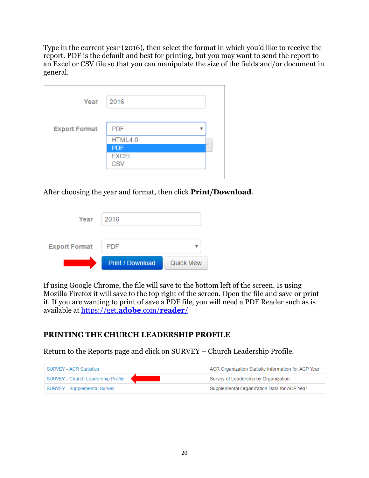Type in the current year (2016), then select the format in which you'd like to receive the report. PDF is the default and best for printing, but you may want to send the report to an Excel or CSV file so that you can manipulate the size of the fields and/or document in general.

| Year                 | 2016                       |   |
|----------------------|----------------------------|---|
| <b>Export Format</b> | <b>PDF</b>                 | ▼ |
|                      | HTML4.0                    |   |
|                      | <b>PDF</b>                 |   |
|                      | <b>EXCEL</b><br><b>CSV</b> |   |

After choosing the year and format, then click **Print/Download**.

|                      | <b>Print / Download</b> | Quick View |
|----------------------|-------------------------|------------|
| <b>Export Format</b> | <b>PDF</b>              |            |
| Year                 | 2016                    |            |

If using Google Chrome, the file will save to the bottom left of the screen. Is using Mozilla Firefox it will save to the top right of the screen. Open the file and save or print it. If you are wanting to print of save a PDF file, you will need a PDF Reader such as is available at [https://get.](https://get.adobe.com/reader/)**adobe**.com/**reader**/

#### **PRINTING THE CHURCH LEADERSHIP PROFILE**

Return to the Reports page and click on SURVEY – Church Leadership Profile.

| <b>SURVEY - ACR Statistics</b>     | ACR Organization Statistic Information for ACP Year |
|------------------------------------|-----------------------------------------------------|
| SURVEY - Church Leadership Profile | Survey of Leadership by Organization                |
| SURVEY - Supplemental Survey       | Supplemental Organization Data for ACP Year         |